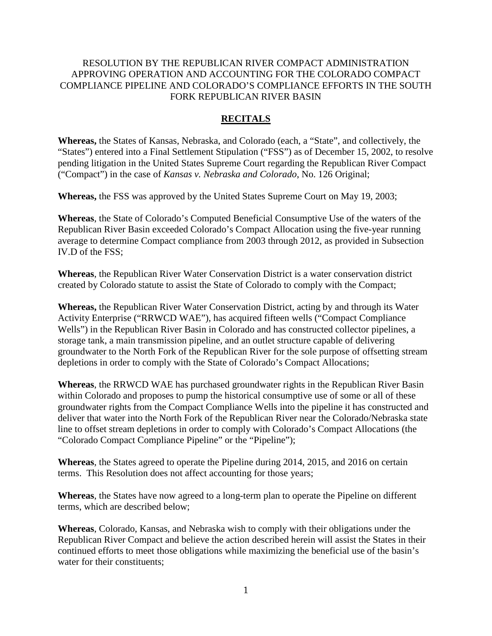## RESOLUTION BY THE REPUBLICAN RIVER COMPACT ADMINISTRATION APPROVING OPERATION AND ACCOUNTING FOR THE COLORADO COMPACT COMPLIANCE PIPELINE AND COLORADO'S COMPLIANCE EFFORTS IN THE SOUTH FORK REPUBLICAN RIVER BASIN

# **RECITALS**

**Whereas,** the States of Kansas, Nebraska, and Colorado (each, a "State", and collectively, the "States") entered into a Final Settlement Stipulation ("FSS") as of December 15, 2002, to resolve pending litigation in the United States Supreme Court regarding the Republican River Compact ("Compact") in the case of *Kansas v. Nebraska and Colorado*, No. 126 Original;

**Whereas,** the FSS was approved by the United States Supreme Court on May 19, 2003;

**Whereas**, the State of Colorado's Computed Beneficial Consumptive Use of the waters of the Republican River Basin exceeded Colorado's Compact Allocation using the five-year running average to determine Compact compliance from 2003 through 2012, as provided in Subsection IV.D of the FSS;

**Whereas**, the Republican River Water Conservation District is a water conservation district created by Colorado statute to assist the State of Colorado to comply with the Compact;

**Whereas,** the Republican River Water Conservation District, acting by and through its Water Activity Enterprise ("RRWCD WAE"), has acquired fifteen wells ("Compact Compliance Wells") in the Republican River Basin in Colorado and has constructed collector pipelines, a storage tank, a main transmission pipeline, and an outlet structure capable of delivering groundwater to the North Fork of the Republican River for the sole purpose of offsetting stream depletions in order to comply with the State of Colorado's Compact Allocations;

**Whereas**, the RRWCD WAE has purchased groundwater rights in the Republican River Basin within Colorado and proposes to pump the historical consumptive use of some or all of these groundwater rights from the Compact Compliance Wells into the pipeline it has constructed and deliver that water into the North Fork of the Republican River near the Colorado/Nebraska state line to offset stream depletions in order to comply with Colorado's Compact Allocations (the "Colorado Compact Compliance Pipeline" or the "Pipeline");

**Whereas**, the States agreed to operate the Pipeline during 2014, 2015, and 2016 on certain terms. This Resolution does not affect accounting for those years;

**Whereas**, the States have now agreed to a long-term plan to operate the Pipeline on different terms, which are described below;

**Whereas**, Colorado, Kansas, and Nebraska wish to comply with their obligations under the Republican River Compact and believe the action described herein will assist the States in their continued efforts to meet those obligations while maximizing the beneficial use of the basin's water for their constituents: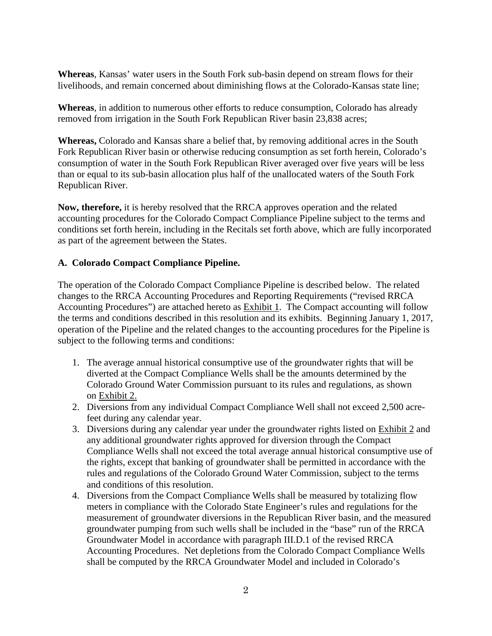**Whereas**, Kansas' water users in the South Fork sub-basin depend on stream flows for their livelihoods, and remain concerned about diminishing flows at the Colorado-Kansas state line;

**Whereas**, in addition to numerous other efforts to reduce consumption, Colorado has already removed from irrigation in the South Fork Republican River basin 23,838 acres;

**Whereas,** Colorado and Kansas share a belief that, by removing additional acres in the South Fork Republican River basin or otherwise reducing consumption as set forth herein, Colorado's consumption of water in the South Fork Republican River averaged over five years will be less than or equal to its sub-basin allocation plus half of the unallocated waters of the South Fork Republican River.

**Now, therefore,** it is hereby resolved that the RRCA approves operation and the related accounting procedures for the Colorado Compact Compliance Pipeline subject to the terms and conditions set forth herein, including in the Recitals set forth above, which are fully incorporated as part of the agreement between the States.

# **A. Colorado Compact Compliance Pipeline.**

The operation of the Colorado Compact Compliance Pipeline is described below. The related changes to the RRCA Accounting Procedures and Reporting Requirements ("revised RRCA Accounting Procedures") are attached hereto as Exhibit 1. The Compact accounting will follow the terms and conditions described in this resolution and its exhibits. Beginning January 1, 2017, operation of the Pipeline and the related changes to the accounting procedures for the Pipeline is subject to the following terms and conditions:

- 1. The average annual historical consumptive use of the groundwater rights that will be diverted at the Compact Compliance Wells shall be the amounts determined by the Colorado Ground Water Commission pursuant to its rules and regulations, as shown on Exhibit 2.
- 2. Diversions from any individual Compact Compliance Well shall not exceed 2,500 acrefeet during any calendar year.
- 3. Diversions during any calendar year under the groundwater rights listed on Exhibit 2 and any additional groundwater rights approved for diversion through the Compact Compliance Wells shall not exceed the total average annual historical consumptive use of the rights, except that banking of groundwater shall be permitted in accordance with the rules and regulations of the Colorado Ground Water Commission, subject to the terms and conditions of this resolution.
- 4. Diversions from the Compact Compliance Wells shall be measured by totalizing flow meters in compliance with the Colorado State Engineer's rules and regulations for the measurement of groundwater diversions in the Republican River basin, and the measured groundwater pumping from such wells shall be included in the "base" run of the RRCA Groundwater Model in accordance with paragraph III.D.1 of the revised RRCA Accounting Procedures. Net depletions from the Colorado Compact Compliance Wells shall be computed by the RRCA Groundwater Model and included in Colorado's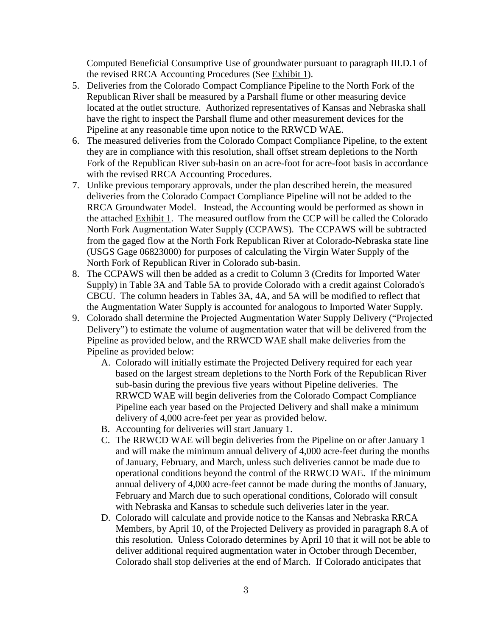Computed Beneficial Consumptive Use of groundwater pursuant to paragraph III.D.1 of the revised RRCA Accounting Procedures (See Exhibit 1).

- 5. Deliveries from the Colorado Compact Compliance Pipeline to the North Fork of the Republican River shall be measured by a Parshall flume or other measuring device located at the outlet structure. Authorized representatives of Kansas and Nebraska shall have the right to inspect the Parshall flume and other measurement devices for the Pipeline at any reasonable time upon notice to the RRWCD WAE.
- 6. The measured deliveries from the Colorado Compact Compliance Pipeline, to the extent they are in compliance with this resolution, shall offset stream depletions to the North Fork of the Republican River sub-basin on an acre-foot for acre-foot basis in accordance with the revised RRCA Accounting Procedures.
- 7. Unlike previous temporary approvals, under the plan described herein, the measured deliveries from the Colorado Compact Compliance Pipeline will not be added to the RRCA Groundwater Model. Instead, the Accounting would be performed as shown in the attached Exhibit 1. The measured outflow from the CCP will be called the Colorado North Fork Augmentation Water Supply (CCPAWS). The CCPAWS will be subtracted from the gaged flow at the North Fork Republican River at Colorado-Nebraska state line (USGS Gage 06823000) for purposes of calculating the Virgin Water Supply of the North Fork of Republican River in Colorado sub-basin.
- 8. The CCPAWS will then be added as a credit to Column 3 (Credits for Imported Water Supply) in Table 3A and Table 5A to provide Colorado with a credit against Colorado's CBCU. The column headers in Tables 3A, 4A, and 5A will be modified to reflect that the Augmentation Water Supply is accounted for analogous to Imported Water Supply.
- 9. Colorado shall determine the Projected Augmentation Water Supply Delivery ("Projected Delivery") to estimate the volume of augmentation water that will be delivered from the Pipeline as provided below, and the RRWCD WAE shall make deliveries from the Pipeline as provided below:
	- A. Colorado will initially estimate the Projected Delivery required for each year based on the largest stream depletions to the North Fork of the Republican River sub-basin during the previous five years without Pipeline deliveries. The RRWCD WAE will begin deliveries from the Colorado Compact Compliance Pipeline each year based on the Projected Delivery and shall make a minimum delivery of 4,000 acre-feet per year as provided below.
	- B. Accounting for deliveries will start January 1.
	- C. The RRWCD WAE will begin deliveries from the Pipeline on or after January 1 and will make the minimum annual delivery of 4,000 acre-feet during the months of January, February, and March, unless such deliveries cannot be made due to operational conditions beyond the control of the RRWCD WAE. If the minimum annual delivery of 4,000 acre-feet cannot be made during the months of January, February and March due to such operational conditions, Colorado will consult with Nebraska and Kansas to schedule such deliveries later in the year.
	- D. Colorado will calculate and provide notice to the Kansas and Nebraska RRCA Members, by April 10, of the Projected Delivery as provided in paragraph 8.A of this resolution. Unless Colorado determines by April 10 that it will not be able to deliver additional required augmentation water in October through December, Colorado shall stop deliveries at the end of March. If Colorado anticipates that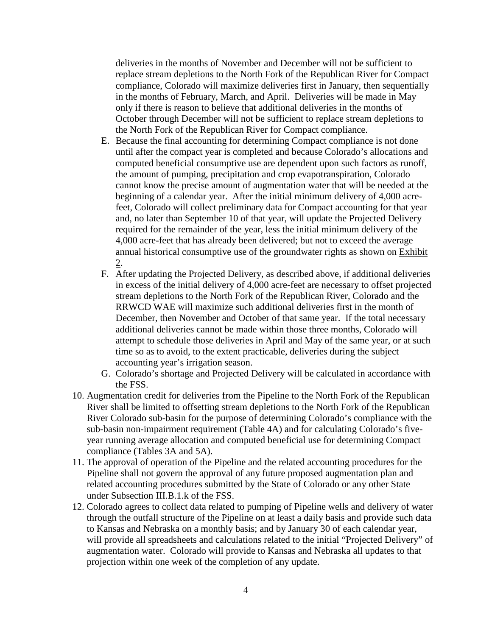deliveries in the months of November and December will not be sufficient to replace stream depletions to the North Fork of the Republican River for Compact compliance, Colorado will maximize deliveries first in January, then sequentially in the months of February, March, and April. Deliveries will be made in May only if there is reason to believe that additional deliveries in the months of October through December will not be sufficient to replace stream depletions to the North Fork of the Republican River for Compact compliance.

- E. Because the final accounting for determining Compact compliance is not done until after the compact year is completed and because Colorado's allocations and computed beneficial consumptive use are dependent upon such factors as runoff, the amount of pumping, precipitation and crop evapotranspiration, Colorado cannot know the precise amount of augmentation water that will be needed at the beginning of a calendar year. After the initial minimum delivery of 4,000 acrefeet, Colorado will collect preliminary data for Compact accounting for that year and, no later than September 10 of that year, will update the Projected Delivery required for the remainder of the year, less the initial minimum delivery of the 4,000 acre-feet that has already been delivered; but not to exceed the average annual historical consumptive use of the groundwater rights as shown on Exhibit 2.
- F. After updating the Projected Delivery, as described above, if additional deliveries in excess of the initial delivery of 4,000 acre-feet are necessary to offset projected stream depletions to the North Fork of the Republican River, Colorado and the RRWCD WAE will maximize such additional deliveries first in the month of December, then November and October of that same year. If the total necessary additional deliveries cannot be made within those three months, Colorado will attempt to schedule those deliveries in April and May of the same year, or at such time so as to avoid, to the extent practicable, deliveries during the subject accounting year's irrigation season.
- G. Colorado's shortage and Projected Delivery will be calculated in accordance with the FSS.
- 10. Augmentation credit for deliveries from the Pipeline to the North Fork of the Republican River shall be limited to offsetting stream depletions to the North Fork of the Republican River Colorado sub-basin for the purpose of determining Colorado's compliance with the sub-basin non-impairment requirement (Table 4A) and for calculating Colorado's fiveyear running average allocation and computed beneficial use for determining Compact compliance (Tables 3A and 5A).
- 11. The approval of operation of the Pipeline and the related accounting procedures for the Pipeline shall not govern the approval of any future proposed augmentation plan and related accounting procedures submitted by the State of Colorado or any other State under Subsection III.B.1.k of the FSS.
- 12. Colorado agrees to collect data related to pumping of Pipeline wells and delivery of water through the outfall structure of the Pipeline on at least a daily basis and provide such data to Kansas and Nebraska on a monthly basis; and by January 30 of each calendar year, will provide all spreadsheets and calculations related to the initial "Projected Delivery" of augmentation water. Colorado will provide to Kansas and Nebraska all updates to that projection within one week of the completion of any update.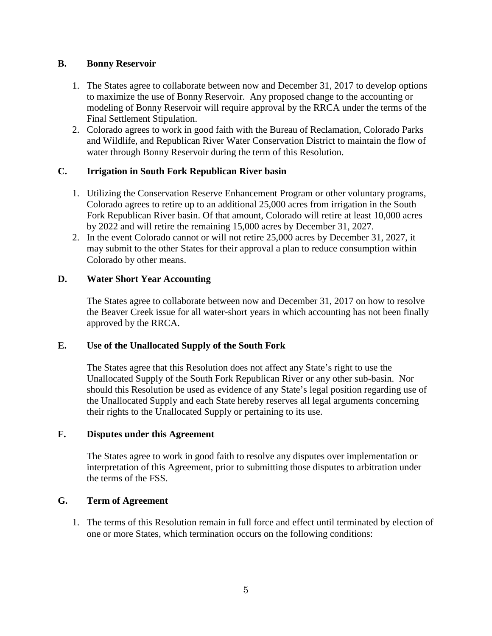## **B. Bonny Reservoir**

- 1. The States agree to collaborate between now and December 31, 2017 to develop options to maximize the use of Bonny Reservoir. Any proposed change to the accounting or modeling of Bonny Reservoir will require approval by the RRCA under the terms of the Final Settlement Stipulation.
- 2. Colorado agrees to work in good faith with the Bureau of Reclamation, Colorado Parks and Wildlife, and Republican River Water Conservation District to maintain the flow of water through Bonny Reservoir during the term of this Resolution.

### **C. Irrigation in South Fork Republican River basin**

- 1. Utilizing the Conservation Reserve Enhancement Program or other voluntary programs, Colorado agrees to retire up to an additional 25,000 acres from irrigation in the South Fork Republican River basin. Of that amount, Colorado will retire at least 10,000 acres by 2022 and will retire the remaining 15,000 acres by December 31, 2027.
- 2. In the event Colorado cannot or will not retire 25,000 acres by December 31, 2027, it may submit to the other States for their approval a plan to reduce consumption within Colorado by other means.

### **D. Water Short Year Accounting**

The States agree to collaborate between now and December 31, 2017 on how to resolve the Beaver Creek issue for all water-short years in which accounting has not been finally approved by the RRCA.

### **E. Use of the Unallocated Supply of the South Fork**

The States agree that this Resolution does not affect any State's right to use the Unallocated Supply of the South Fork Republican River or any other sub-basin. Nor should this Resolution be used as evidence of any State's legal position regarding use of the Unallocated Supply and each State hereby reserves all legal arguments concerning their rights to the Unallocated Supply or pertaining to its use.

### **F. Disputes under this Agreement**

The States agree to work in good faith to resolve any disputes over implementation or interpretation of this Agreement, prior to submitting those disputes to arbitration under the terms of the FSS.

### **G. Term of Agreement**

1. The terms of this Resolution remain in full force and effect until terminated by election of one or more States, which termination occurs on the following conditions: